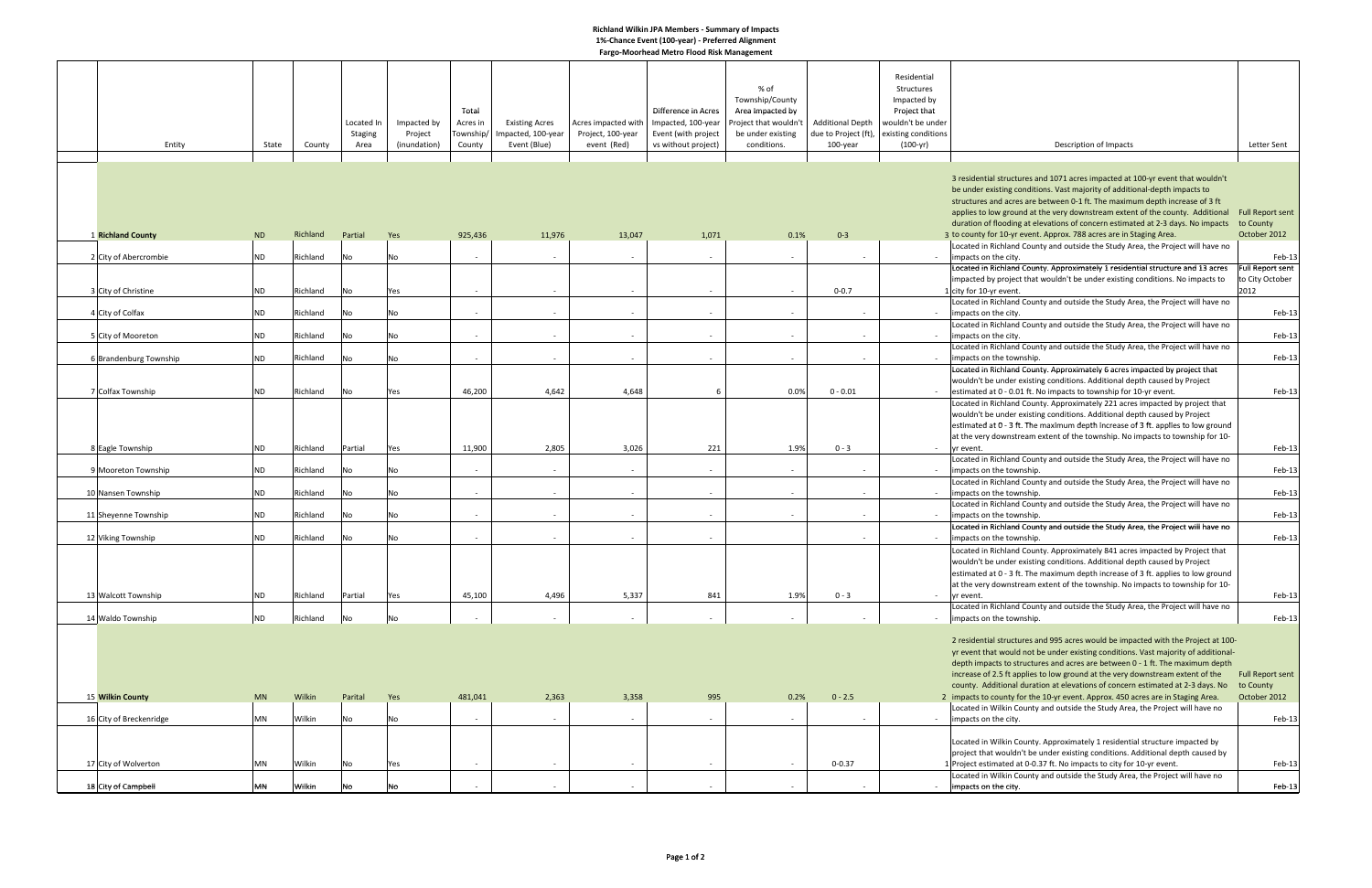## **Richland Wilkin JPA Members ‐ Summary of Impacts 1%‐Chance Event (100‐year) ‐ Preferred Alignment Fargo‐Moorhead Metro Flood Risk Management**

| Entity                                       | State                  | County               | Located In<br><b>Staging</b><br>Area | Impacted by<br>Project<br>(inundation) | Total<br>Acres in<br>Township/<br>County | <b>Existing Acres</b><br>Impacted, 100-year<br>Event (Blue) | Acres impacted with<br>Project, 100-year<br>event (Red) | Difference in Acres<br>Impacted, 100-year<br>Event (with project<br>vs without project) | % of<br>Township/County<br>Area Impacted by<br>Project that wouldn't<br>be under existing<br>conditions. | <b>Additional Depth</b><br>due to Project (ft),<br>$100$ -year | Residential<br>Structures<br>Impacted by<br>Project that<br>wouldn't be under<br>existing conditions<br>$(100 - yr)$ | Description of Impacts                                                                                                                                                                                                                                                                                                                                                                                                                | Letter Sent                                           |
|----------------------------------------------|------------------------|----------------------|--------------------------------------|----------------------------------------|------------------------------------------|-------------------------------------------------------------|---------------------------------------------------------|-----------------------------------------------------------------------------------------|----------------------------------------------------------------------------------------------------------|----------------------------------------------------------------|----------------------------------------------------------------------------------------------------------------------|---------------------------------------------------------------------------------------------------------------------------------------------------------------------------------------------------------------------------------------------------------------------------------------------------------------------------------------------------------------------------------------------------------------------------------------|-------------------------------------------------------|
|                                              |                        |                      |                                      |                                        |                                          |                                                             |                                                         |                                                                                         |                                                                                                          |                                                                |                                                                                                                      |                                                                                                                                                                                                                                                                                                                                                                                                                                       |                                                       |
|                                              |                        |                      |                                      |                                        |                                          |                                                             |                                                         |                                                                                         |                                                                                                          |                                                                |                                                                                                                      | 3 residential structures and 1071 acres impacted at 100-yr event that wouldn't<br>be under existing conditions. Vast majority of additional-depth impacts to<br>structures and acres are between 0-1 ft. The maximum depth increase of 3 ft<br>applies to low ground at the very downstream extent of the county. Additional<br>duration of flooding at elevations of concern estimated at 2-3 days. No impacts                       | <b>Full Report sent</b><br>to County                  |
| <b>1 Richland County</b>                     | <b>ND</b>              | Richland             | Partial                              | Yes                                    | 925,436                                  | 11,976                                                      | 13,047                                                  | 1,071                                                                                   | 0.1%                                                                                                     | $0 - 3$                                                        |                                                                                                                      | 3 to county for 10-yr event. Approx. 788 acres are in Staging Area.                                                                                                                                                                                                                                                                                                                                                                   | October 2012                                          |
|                                              |                        |                      |                                      |                                        |                                          |                                                             |                                                         |                                                                                         |                                                                                                          |                                                                |                                                                                                                      | Located in Richland County and outside the Study Area, the Project will have no                                                                                                                                                                                                                                                                                                                                                       |                                                       |
| 2 City of Abercrombie<br>3 City of Christine | <b>ND</b><br><b>ND</b> | Richland<br>Richland | No<br>No                             | No<br>Yes                              | $\sim$<br>$\sim$                         | $\sim$<br>$\sim$                                            | $\sim$<br>$\sim$                                        | $\sim$<br>$\sim$                                                                        | $\sim$<br>$\sim$                                                                                         | $\sim$<br>$0 - 0.7$                                            |                                                                                                                      | impacts on the city.<br>Located in Richland County. Approximately 1 residential structure and 13 acres<br>impacted by project that wouldn't be under existing conditions. No impacts to<br>1 city for 10-yr event.                                                                                                                                                                                                                    | Feb-13<br>Full Report sent<br>to City October<br>2012 |
|                                              |                        |                      |                                      |                                        |                                          |                                                             |                                                         |                                                                                         |                                                                                                          |                                                                |                                                                                                                      | Located in Richland County and outside the Study Area, the Project will have no                                                                                                                                                                                                                                                                                                                                                       |                                                       |
| 4 City of Colfax                             | <b>ND</b>              | Richland             | No                                   | No                                     | $\sim$                                   |                                                             | $\sim$                                                  | $\sim$                                                                                  | $\sim$                                                                                                   |                                                                |                                                                                                                      | impacts on the city.                                                                                                                                                                                                                                                                                                                                                                                                                  | Feb-13                                                |
| 5 City of Mooreton                           | <b>ND</b>              | Richland             | No                                   | No                                     | $\sim$                                   | $\sim$                                                      | $\sim$                                                  | $\sim$                                                                                  | $\sim$                                                                                                   | $\sim$                                                         | $\sim$                                                                                                               | Located in Richland County and outside the Study Area, the Project will have no<br>impacts on the city.<br>Located in Richland County and outside the Study Area, the Project will have no                                                                                                                                                                                                                                            | Feb-13                                                |
| 6 Brandenburg Township                       | <b>ND</b>              | Richland             | No                                   | No                                     | $\sim$                                   | $\sim$                                                      |                                                         | $\sim$                                                                                  | $\sim$                                                                                                   | $\sim$                                                         |                                                                                                                      | impacts on the township.                                                                                                                                                                                                                                                                                                                                                                                                              | Feb-13                                                |
|                                              |                        |                      |                                      |                                        |                                          |                                                             |                                                         |                                                                                         |                                                                                                          |                                                                |                                                                                                                      | Located in Richland County. Approximately 6 acres impacted by project that<br>wouldn't be under existing conditions. Additional depth caused by Project                                                                                                                                                                                                                                                                               |                                                       |
| 7 Colfax Township                            | <b>ND</b>              | Richland             | No                                   | Yes                                    | 46,200                                   | 4,642                                                       | 4,648                                                   | 6                                                                                       | 0.0%                                                                                                     | $0 - 0.01$                                                     |                                                                                                                      | - estimated at 0 - 0.01 ft. No impacts to township for 10-yr event.                                                                                                                                                                                                                                                                                                                                                                   | Feb-13                                                |
|                                              |                        |                      |                                      |                                        |                                          |                                                             |                                                         |                                                                                         |                                                                                                          |                                                                |                                                                                                                      | Located in Richland County. Approximately 221 acres impacted by project that<br>wouldn't be under existing conditions. Additional depth caused by Project<br>estimated at 0 - 3 ft. The maximum depth increase of 3 ft. applies to low ground<br>at the very downstream extent of the township. No impacts to township for 10-                                                                                                        |                                                       |
| 8 Eagle Township                             | <b>ND</b>              | Richland             | Partial                              | Yes                                    | 11,900                                   | 2,805                                                       | 3,026                                                   | 221                                                                                     | 1.9%                                                                                                     | $0 - 3$                                                        |                                                                                                                      | yr event.                                                                                                                                                                                                                                                                                                                                                                                                                             | Feb-13                                                |
| 9 Mooreton Township                          | <b>ND</b>              | Richland             | No                                   | No                                     | $\sim$                                   | $\sim$                                                      | $\sim$                                                  | $\sim$                                                                                  | $\sim$                                                                                                   | $\sim$                                                         | $\sim$                                                                                                               | Located in Richland County and outside the Study Area, the Project will have no<br>impacts on the township.<br>Located in Richland County and outside the Study Area, the Project will have no                                                                                                                                                                                                                                        | Feb-13                                                |
| 10 Nansen Township                           | <b>ND</b>              | Richland             | No                                   | No                                     | $\sim$                                   | $\sim$                                                      | $\sim$                                                  | $\sim$                                                                                  | $\sim$                                                                                                   | $\sim$                                                         |                                                                                                                      | limpacts on the township.                                                                                                                                                                                                                                                                                                                                                                                                             | Feb-13                                                |
|                                              |                        |                      |                                      |                                        |                                          |                                                             |                                                         |                                                                                         |                                                                                                          |                                                                |                                                                                                                      | Located in Richland County and outside the Study Area, the Project will have no                                                                                                                                                                                                                                                                                                                                                       |                                                       |
| 11 Sheyenne Township                         | <b>ND</b>              | Richland             | No                                   | No                                     | $\sim$                                   |                                                             |                                                         | $\sim$                                                                                  | $\overline{\phantom{a}}$                                                                                 |                                                                |                                                                                                                      | impacts on the township.                                                                                                                                                                                                                                                                                                                                                                                                              | Feb-13                                                |
| 12 Viking Township                           | <b>ND</b>              | Richland             | No                                   | No                                     | $\sim$                                   | $\sim$                                                      | $\sim$                                                  | $\sim$                                                                                  |                                                                                                          | $\sim$                                                         | $\sim$                                                                                                               | Located in Richland County and outside the Study Area, the Project will have no<br>impacts on the township.                                                                                                                                                                                                                                                                                                                           | Feb-13                                                |
|                                              |                        |                      |                                      |                                        |                                          |                                                             |                                                         |                                                                                         |                                                                                                          |                                                                |                                                                                                                      | Located in Richland County. Approximately 841 acres impacted by Project that<br>wouldn't be under existing conditions. Additional depth caused by Project<br>estimated at 0 - 3 ft. The maximum depth increase of 3 ft. applies to low ground<br>at the very downstream extent of the township. No impacts to township for 10-                                                                                                        |                                                       |
| 13 Walcott Township                          | <b>ND</b>              | Richland             | Partial                              | Yes                                    | 45,100                                   | 4,496                                                       | 5,337                                                   | 841                                                                                     | 1.9%                                                                                                     | $0 - 3$                                                        | $\sim$                                                                                                               | yr event.                                                                                                                                                                                                                                                                                                                                                                                                                             | Feb-13                                                |
| 14 Waldo Township                            | <b>ND</b>              | Richland             | No                                   | No                                     | $\sim$                                   |                                                             |                                                         | $\overline{\phantom{a}}$                                                                | $\sim$                                                                                                   |                                                                | $\sim$                                                                                                               | Located in Richland County and outside the Study Area, the Project will have no<br>impacts on the township.                                                                                                                                                                                                                                                                                                                           | Feb-13                                                |
|                                              |                        |                      |                                      |                                        |                                          |                                                             |                                                         |                                                                                         |                                                                                                          |                                                                |                                                                                                                      | 2 residential structures and 995 acres would be impacted with the Project at 100-<br>yr event that would not be under existing conditions. Vast majority of additional-<br>depth impacts to structures and acres are between 0 - 1 ft. The maximum depth<br>increase of 2.5 ft applies to low ground at the very downstream extent of the<br>county. Additional duration at elevations of concern estimated at 2-3 days. No to County | Full Report sent                                      |
| 15 Wilkin County                             | <b>MN</b>              | Wilkin               | Parital                              | Yes                                    | 481,041                                  | 2,363                                                       | 3,358                                                   | 995                                                                                     | 0.2%                                                                                                     | $0 - 2.5$                                                      |                                                                                                                      | 2 impacts to county for the 10-yr event. Approx. 450 acres are in Staging Area.                                                                                                                                                                                                                                                                                                                                                       | October 2012                                          |
| 16 City of Breckenridge                      | <b>MN</b>              | Wilkin               | No                                   | No                                     | $\sim$                                   | $\sim$                                                      | $\sim$                                                  | $\sim$                                                                                  | $\sim$                                                                                                   | $\sim$                                                         | $\sim$                                                                                                               | Located in Wilkin County and outside the Study Area, the Project will have no<br>impacts on the city.                                                                                                                                                                                                                                                                                                                                 | Feb-13                                                |
|                                              |                        | Wilkin               |                                      |                                        |                                          |                                                             |                                                         |                                                                                         |                                                                                                          |                                                                |                                                                                                                      | Located in Wilkin County. Approximately 1 residential structure impacted by<br>project that wouldn't be under existing conditions. Additional depth caused by                                                                                                                                                                                                                                                                         | Feb-13                                                |
| 17 City of Wolverton                         | <b>MN</b>              |                      | No                                   | Yes                                    |                                          |                                                             |                                                         | $\sim$                                                                                  | $\sim$                                                                                                   | $0 - 0.37$                                                     |                                                                                                                      | 1 Project estimated at 0-0.37 ft. No impacts to city for 10-yr event.<br>Located in Wilkin County and outside the Study Area, the Project will have no                                                                                                                                                                                                                                                                                |                                                       |
| 18 City of Campbell                          | MN                     | Wilkin               | No                                   | No                                     |                                          |                                                             |                                                         | $\overline{\phantom{a}}$                                                                | $\sim$                                                                                                   | $\sim$                                                         | $\sim$                                                                                                               | impacts on the city.                                                                                                                                                                                                                                                                                                                                                                                                                  | Feb-13                                                |